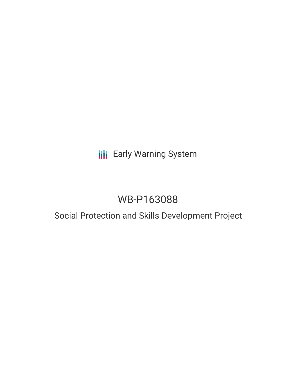## **III** Early Warning System

# WB-P163088

## Social Protection and Skills Development Project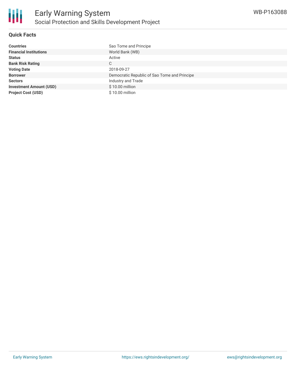

### **Quick Facts**

| <b>Countries</b>               | Sao Tome and Principe                        |
|--------------------------------|----------------------------------------------|
| <b>Financial Institutions</b>  | World Bank (WB)                              |
| <b>Status</b>                  | Active                                       |
| <b>Bank Risk Rating</b>        | С                                            |
| <b>Voting Date</b>             | 2018-09-27                                   |
| <b>Borrower</b>                | Democratic Republic of Sao Tome and Principe |
| <b>Sectors</b>                 | Industry and Trade                           |
| <b>Investment Amount (USD)</b> | \$10.00 million                              |
| <b>Project Cost (USD)</b>      | \$10.00 million                              |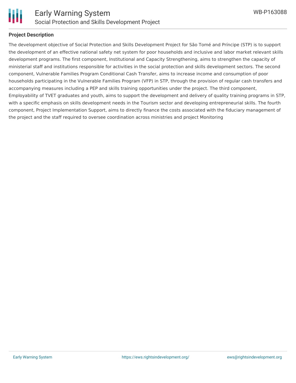

#### **Project Description**

The development objective of Social Protection and Skills Development Project for São Tomé and Príncipe (STP) is to support the development of an effective national safety net system for poor households and inclusive and labor market relevant skills development programs. The first component, Institutional and Capacity Strengthening, aims to strengthen the capacity of ministerial staff and institutions responsible for activities in the social protection and skills development sectors. The second component, Vulnerable Families Program Conditional Cash Transfer, aims to increase income and consumption of poor households participating in the Vulnerable Families Program (VFP) in STP, through the provision of regular cash transfers and accompanying measures including a PEP and skills training opportunities under the project. The third component, Employability of TVET graduates and youth, aims to support the development and delivery of quality training programs in STP, with a specific emphasis on skills development needs in the Tourism sector and developing entrepreneurial skills. The fourth component, Project Implementation Support, aims to directly finance the costs associated with the fiduciary management of the project and the staff required to oversee coordination across ministries and project Monitoring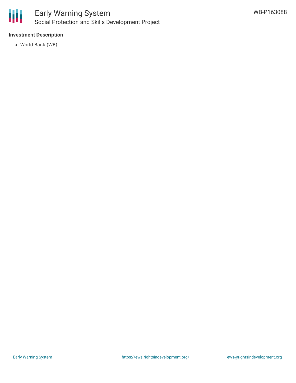

### Early Warning System Social Protection and Skills Development Project

### **Investment Description**

World Bank (WB)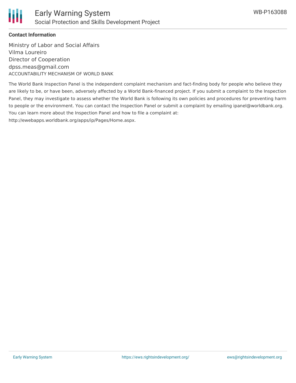

### **Contact Information**

Ministry of Labor and Social Affairs Vilma Loureiro Director of Cooperation dpss.meas@gmail.com ACCOUNTABILITY MECHANISM OF WORLD BANK

The World Bank Inspection Panel is the independent complaint mechanism and fact-finding body for people who believe they are likely to be, or have been, adversely affected by a World Bank-financed project. If you submit a complaint to the Inspection Panel, they may investigate to assess whether the World Bank is following its own policies and procedures for preventing harm to people or the environment. You can contact the Inspection Panel or submit a complaint by emailing ipanel@worldbank.org. You can learn more about the Inspection Panel and how to file a complaint at: http://ewebapps.worldbank.org/apps/ip/Pages/Home.aspx.